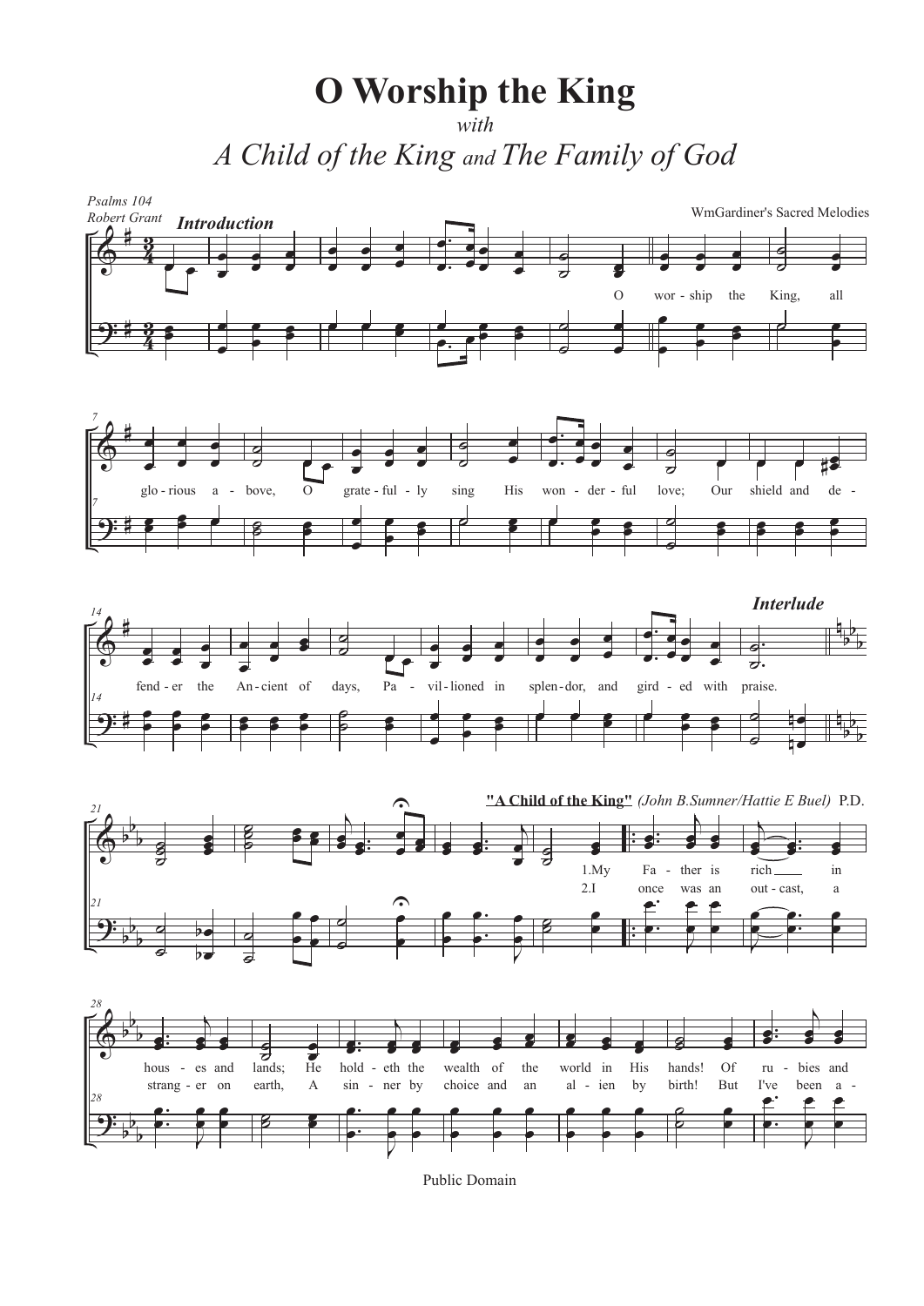**O** Worship the King A Child of the King and The Family of God



Public Domain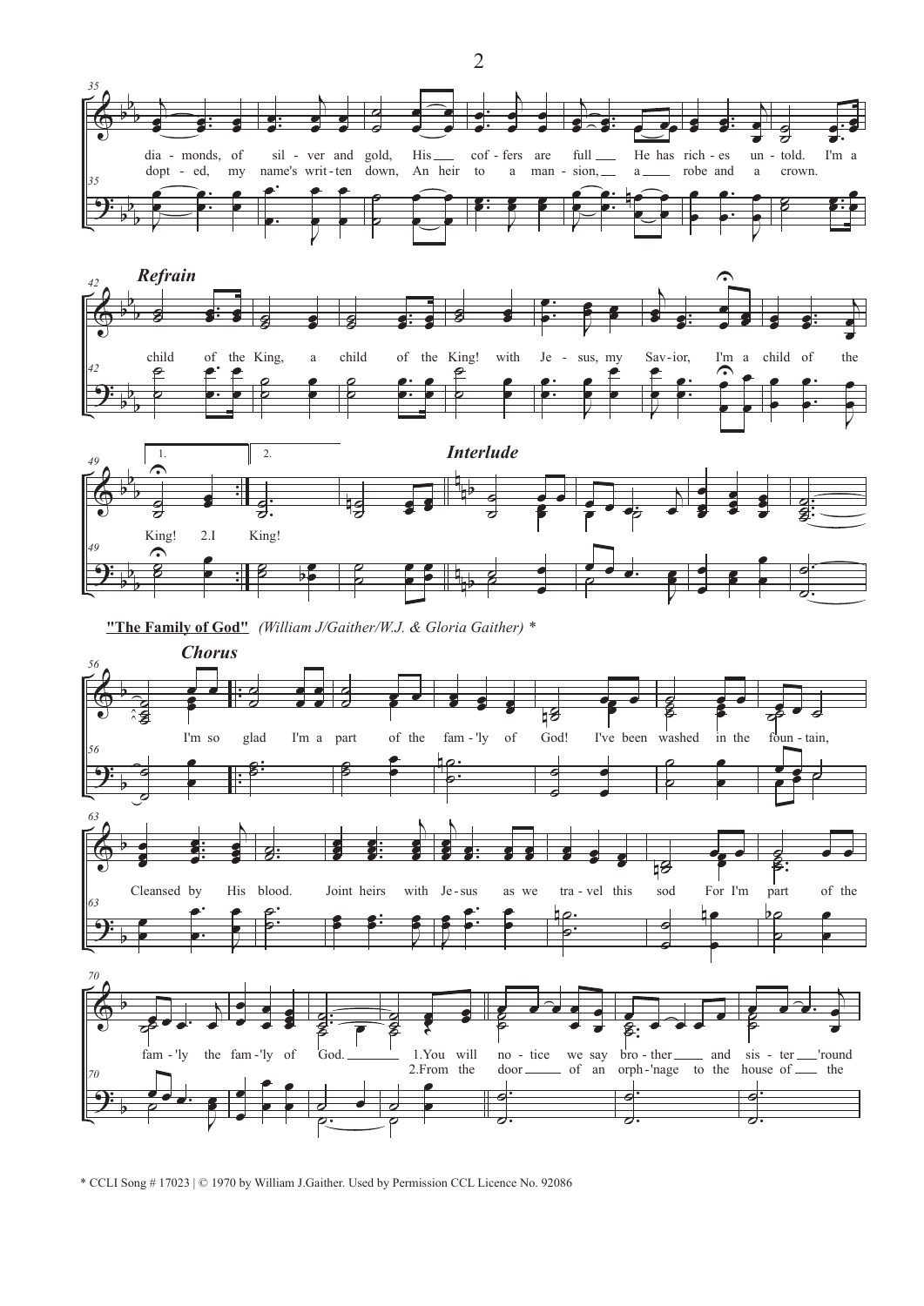





"The Family of God" (William J/Gaither/W.J. & Gloria Gaither) \*



<sup>\*</sup> CCLI Song #17023 | © 1970 by William J.Gaither. Used by Permission CCL Licence No. 92086